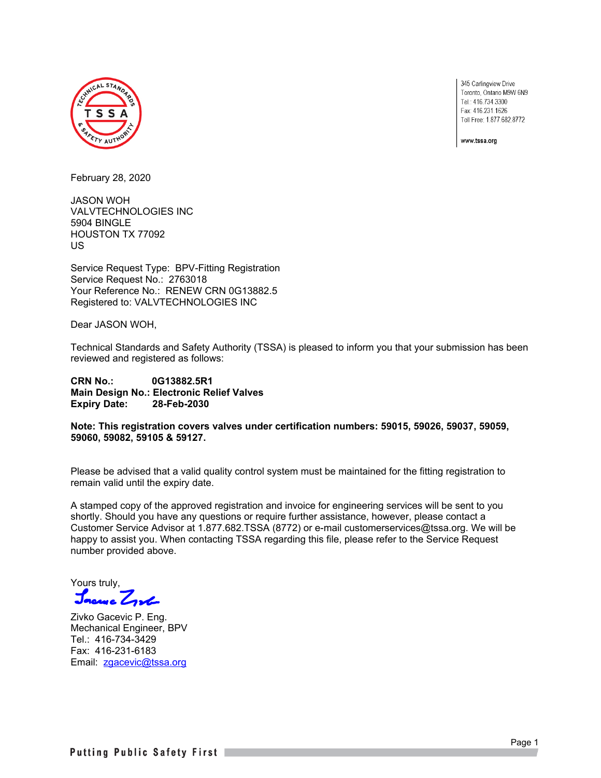

345 Carlingview Drive Toronto, Ontario M9W 6N9 Tel.: 416.734.3300 Fax: 416.231.1626 Toll Free: 1.877.682.8772

www.tssa.org

February 28, 2020

JASON WOH VALVTECHNOLOGIES INC 5904 BINGLE HOUSTON TX 77092 US

Service Request Type: BPV-Fitting Registration Service Request No.: 2763018 Your Reference No.: RENEW CRN 0G13882.5 Registered to: VALVTECHNOLOGIES INC

Dear JASON WOH,

Technical Standards and Safety Authority (TSSA) is pleased to inform you that your submission has been reviewed and registered as follows:

**CRN No.: 0G13882.5R1 Main Design No.: Electronic Relief Valves Expiry Date: 28-Feb-2030**

**Note: This registration covers valves under certification numbers: 59015, 59026, 59037, 59059, 59060, 59082, 59105 & 59127.**

Please be advised that a valid quality control system must be maintained for the fitting registration to remain valid until the expiry date.

A stamped copy of the approved registration and invoice for engineering services will be sent to you shortly. Should you have any questions or require further assistance, however, please contact a Customer Service Advisor at 1.877.682.TSSA (8772) or e-mail customerservices@tssa.org. We will be happy to assist you. When contacting TSSA regarding this file, please refer to the Service Request number provided above.

Yours truly, Jacres Zyl

Zivko Gacevic P. Eng. Mechanical Engineer, BPV Tel.: 416-734-3429 Fax: 416-231-6183 Email: [zgacevic@tssa.org](mailto:zgacevic@tssa.org)